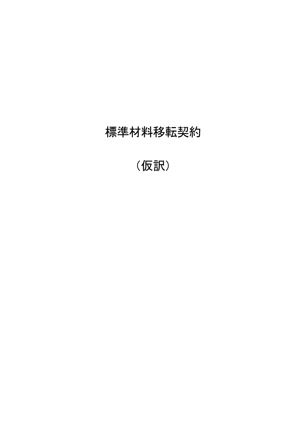# 標準材料移転契約

(仮訳)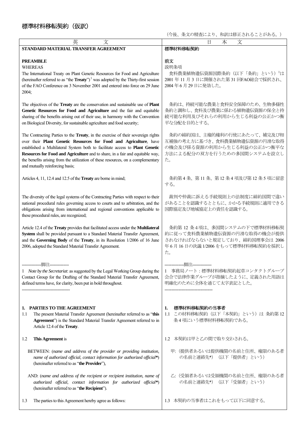## 標準材料移転契約(仮訳)

(今後、条文の精査により、和訳は修正されることがある。)

| 英<br>文                                                                                                                                                                                                                                                                                                                                                                                                                                        | 文<br>日<br>本                                                                                                                           |
|-----------------------------------------------------------------------------------------------------------------------------------------------------------------------------------------------------------------------------------------------------------------------------------------------------------------------------------------------------------------------------------------------------------------------------------------------|---------------------------------------------------------------------------------------------------------------------------------------|
| STANDARD MATERIAL TRANSFER AGREEMENT                                                                                                                                                                                                                                                                                                                                                                                                          | 標準材料移転契約                                                                                                                              |
| <b>PREAMBLE</b><br><b>WHEREAS</b><br>The International Treaty on Plant Genetic Resources for Food and Agriculture<br>(hereinafter referred to as "the $Treaty$ ") <sup>1</sup> was adopted by the Thirty-first session<br>of the FAO Conference on 3 November 2001 and entered into force on 29 June<br>2004;                                                                                                                                 | 前文<br>説明条項<br>食料農業植物遺伝資源国際条約(以下「条約」という)」は<br>2001 年 11 月 3 日に開催された第 31 回FAO総会で採択され、<br>2004年6月29日に発効した。                               |
| The objectives of the Treaty are the conservation and sustainable use of Plant<br>Genetic Resources for Food and Agriculture and the fair and equitable<br>sharing of the benefits arising out of their use, in harmony with the Convention<br>on Biological Diversity, for sustainable agriculture and food security;                                                                                                                        | 条約は、持続可能な農業と食料安全保障のため、生物多様性<br>条約と調和し、食料及び農業に係わる植物遺伝資源の保全と持<br>続可能な利用及びそれらの利用から生じる利益の公正かつ衡<br>平な分配を目的とする。                             |
| The Contracting Parties to the Treaty, in the exercise of their sovereign rights<br>over their Plant Genetic Resources for Food and Agriculture, have<br>established a Multilateral System both to facilitate access to Plant Genetic<br>Resources for Food and Agriculture and to share, in a fair and equitable way,<br>the benefits arising from the utilization of these resources, on a complementary<br>and mutually reinforcing basis; | 条約の締約国は、主権的権利の行使にあたって、補完及び相<br>互補強の考え方に基づき、食料農業植物遺伝資源の円滑な取得<br>の機会及び係る資源の利用から生じる利益の公正かつ衡平な<br>方法による配分の双方を行うための多国間システムを設立し<br>た。       |
| Articles 4, 11, 12.4 and 12.5 of the <b>Treaty</b> are borne in mind;                                                                                                                                                                                                                                                                                                                                                                         | 条約第4条、第11条、第12条4項及び第12条5項に留意<br>する。                                                                                                   |
| The diversity of the legal systems of the Contracting Parties with respect to their<br>national procedural rules governing access to courts and to arbitration, and the<br>obligations arising from international and regional conventions applicable to<br>these procedural rules, are recognized;                                                                                                                                           | 裁判や仲裁に訴える手続規則上の法制度に締約国間で違い<br>があることを認識するとともに、かかる手続規則に適用できる<br>国際協定及び地域協定上の責任を認識する。                                                    |
| Article 12.4 of the Treaty provides that facilitated access under the Multilateral<br>System shall be provided pursuant to a Standard Material Transfer Agreement,<br>and the Governing Body of the Treaty, in its Resolution 1/2006 of 16 June<br>2006, adopted the Standard Material Transfer Agreement.                                                                                                                                    | 条約第12条4項は、多国間システムの下で標準材料移転契<br>約に従って食料農業植物遺伝資源の円滑な取得の機会が提供<br>されなければならないと規定しており、締約国理事会は 2006<br>年6月16日の決議1/2006をもって標準材料移転契約を採択し<br>た。 |
| 脚注---------<br>1 Note by the Secretariat: as suggested by the Legal Working Group during the<br>Contact Group for the Drafting of the Standard Material Transfer Agreement,<br>defined terms have, for clarity, been put in bold throughout.                                                                                                                                                                                                  | -脚注---------<br>事務局ノート:標準材料移転契約起草コンタクトグループ<br>会合で法律作業グループが指摘したように、定義された用語は<br>明確化のために全体を通じて太字表記とした。                                   |
| 1. PARTIES TO THE AGREEMENT<br>The present Material Transfer Agreement (hereinafter referred to as "this<br>1.1<br>Agreement") is the Standard Material Transfer Agreement referred to in<br>Article 12.4 of the Treaty.                                                                                                                                                                                                                      | 標準材料移転契約の当事者<br>1.<br>この材料移転契約(以下「本契約」という)は 条約第12<br>1.1<br>条4項にいう標準材料移転契約である。                                                        |
| This Agreement is<br>1.2                                                                                                                                                                                                                                                                                                                                                                                                                      | 本契約は甲と乙の間で取り交わされる。<br>1.2                                                                                                             |
| BETWEEN: (name and address of the provider or providing institution,<br>name of authorized official, contact information for authorized official*)<br>(hereinafter referred to as "the Provider"),                                                                                                                                                                                                                                            | 甲: (提供者あるいは提供機関の名前と住所、権限のある者<br>の名前と連絡先*) (以下「提供者」という)                                                                                |
| AND: (name and address of the recipient or recipient institution, name of<br>authorized official, contact information for authorized official*)<br>(hereinafter referred to as "the Recipient").                                                                                                                                                                                                                                              | 乙: (受領者あるいは受領機関の名前と住所、権限のある者<br>の名前と連絡先*) (以下「受領者」という)                                                                                |
| The parties to this Agreement hereby agree as follows:<br>1.3                                                                                                                                                                                                                                                                                                                                                                                 | 1.3 本契約の当事者はこれをもって以下に同意する。                                                                                                            |
|                                                                                                                                                                                                                                                                                                                                                                                                                                               |                                                                                                                                       |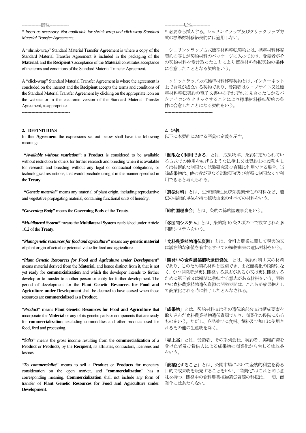| --------------胭注--------------                                                                                                                                                                                                                                                                                                                                                                                                                                                                                            | --------------脚注-------------                                                                                                                                                                 |
|---------------------------------------------------------------------------------------------------------------------------------------------------------------------------------------------------------------------------------------------------------------------------------------------------------------------------------------------------------------------------------------------------------------------------------------------------------------------------------------------------------------------------|-----------------------------------------------------------------------------------------------------------------------------------------------------------------------------------------------|
| * Insert as necessary. Not applicable for shrink-wrap and click-wrap Standard                                                                                                                                                                                                                                                                                                                                                                                                                                             | * 必要なら挿入する。シュリンクラップ及びクリックラップ方                                                                                                                                                                 |
| Material Transfer Agreements.                                                                                                                                                                                                                                                                                                                                                                                                                                                                                             | 式の標準材料移転契約には適用しない。                                                                                                                                                                            |
| A "shrink-wrap" Standard Material Transfer Agreement is where a copy of the                                                                                                                                                                                                                                                                                                                                                                                                                                               | シュリンクラップ方式標準材料移転契約とは、標準材料移転                                                                                                                                                                   |
| Standard Material Transfer Agreement is included in the packaging of the                                                                                                                                                                                                                                                                                                                                                                                                                                                  | 契約の写しが契約材料のパッケージに入っており、受領者がそ                                                                                                                                                                  |
| Material, and the Recipient's acceptance of the Material constitutes acceptance                                                                                                                                                                                                                                                                                                                                                                                                                                           | の契約材料を受け取ったことにより標準材料移転契約の条件                                                                                                                                                                   |
| of the terms and conditions of the Standard Material Transfer Agreement.                                                                                                                                                                                                                                                                                                                                                                                                                                                  | に合意したこととなる契約をいう。                                                                                                                                                                              |
| A "click-wrap" Standard Material Transfer Agreement is where the agreement is                                                                                                                                                                                                                                                                                                                                                                                                                                             | クリックラップ方式標準材料移転契約とは、インターネット                                                                                                                                                                   |
| concluded on the internet and the Recipient accepts the terms and conditions of                                                                                                                                                                                                                                                                                                                                                                                                                                           | 上で合意が成立する契約であり、受領者はウェブサイト又は標                                                                                                                                                                  |
| the Standard Material Transfer Agreement by clicking on the appropriate icon on                                                                                                                                                                                                                                                                                                                                                                                                                                           | 準材料移転契約の電子文書中のそれぞれに見合ったしかるべ                                                                                                                                                                   |
| the website or in the electronic version of the Standard Material Transfer                                                                                                                                                                                                                                                                                                                                                                                                                                                | きアイコンをクリックすることにより標準材料移転契約の条                                                                                                                                                                   |
| Agreement, as appropriate.                                                                                                                                                                                                                                                                                                                                                                                                                                                                                                | 件に合意したことになる契約をいう。                                                                                                                                                                             |
| 2. DEFINITIONS<br>In this Agreement the expressions set out below shall have the following<br>meaning:                                                                                                                                                                                                                                                                                                                                                                                                                    | 2. 定義<br>以下に本契約における語彙の定義を示す。                                                                                                                                                                  |
| "Available without restriction": a Product is considered to be available                                                                                                                                                                                                                                                                                                                                                                                                                                                  | 「制限なく利用できる」とは、成果物が、条約に定められてい                                                                                                                                                                  |
| without restriction to others for further research and breeding when it is available                                                                                                                                                                                                                                                                                                                                                                                                                                      | る方式での使用を妨げるような法律上又は契約上の義務もし                                                                                                                                                                   |
| for research and breeding without any legal or contractual obligations, or                                                                                                                                                                                                                                                                                                                                                                                                                                                | くは技術的な制限なく試験研究及び育種に利用できる場合、当                                                                                                                                                                  |
| technological restrictions, that would preclude using it in the manner specified in                                                                                                                                                                                                                                                                                                                                                                                                                                       | 該成果物は、他の者が更なる試験研究及び育種に制限なくで利                                                                                                                                                                  |
| the Treaty.                                                                                                                                                                                                                                                                                                                                                                                                                                                                                                               | 用できると考えられる。                                                                                                                                                                                   |
| "Genetic material" means any material of plant origin, including reproductive                                                                                                                                                                                                                                                                                                                                                                                                                                             | 「 <b>遺伝材料</b> 」とは、生殖繁殖性及び栄養繁殖性の材料など、遺                                                                                                                                                         |
| and vegetative propagating material, containing functional units of heredity.                                                                                                                                                                                                                                                                                                                                                                                                                                             | 伝の機能的単位を持つ植物由来のすべての材料をいう。                                                                                                                                                                     |
| "Governing Body" means the Governing Body of the Treaty.                                                                                                                                                                                                                                                                                                                                                                                                                                                                  | 「締約国理事会」とは、条約の締約国理事会をいう。                                                                                                                                                                      |
| "Multilateral System" means the Multilateral System established under Article                                                                                                                                                                                                                                                                                                                                                                                                                                             | 「多国間システム」とは、条約第10条2項の下で設立された多                                                                                                                                                                 |
| 10.2 of the Treaty.                                                                                                                                                                                                                                                                                                                                                                                                                                                                                                       | 国間システムをいう。                                                                                                                                                                                    |
| "Plant genetic resources for food and agriculture" means any genetic material                                                                                                                                                                                                                                                                                                                                                                                                                                             | 「食料農業植物遺伝資源」とは、食料と農業に関して現実的又                                                                                                                                                                  |
| of plant origin of actual or potential value for food and agriculture.                                                                                                                                                                                                                                                                                                                                                                                                                                                    | は潜在的な価値を有するすべての植物由来の遺伝材料をいう。                                                                                                                                                                  |
| "Plant Genetic Resources for Food and Agriculture under Development"<br>means material derived from the Material, and hence distinct from it, that is not<br>yet ready for commercialization and which the developer intends to further<br>develop or to transfer to another person or entity for further development. The<br>period of development for the Plant Genetic Resources for Food and<br>Agriculture under Development shall be deemed to have ceased when those<br>resources are commercialized as a Product. | 「 <b>開発中の食料農業植物遺伝資源</b> 」とは、契約材料由来の材料<br>であり、このため契約材料と区別でき、まだ商業化の段階にな<br>く、かつ開発者が更に開発する意志があるか又は更に開発する<br>ために第三者又は機関に移転する意志がある材料をいう。開発<br>中の食料農業植物遺伝資源の開発期間は、これらが成果物とし<br>て商業化される時に終了したとみなされる。 |
| "Product" means Plant Genetic Resources for Food and Agriculture that                                                                                                                                                                                                                                                                                                                                                                                                                                                     | 「 <b>成果物</b> 」とは、契約材料又はその遺伝的部分又は構成要素を                                                                                                                                                         |
| incorporate the Material or any of its genetic parts or components that are ready                                                                                                                                                                                                                                                                                                                                                                                                                                         | 取り込んだ食料農業植物遺伝資源であり、商業化の段階にある                                                                                                                                                                  |
| for commercialization, excluding commodities and other products used for                                                                                                                                                                                                                                                                                                                                                                                                                                                  | ものをいう。ただし、商品並びに食料、飼料及び加工に使用さ                                                                                                                                                                  |
| food, feed and processing.                                                                                                                                                                                                                                                                                                                                                                                                                                                                                                | れるその他の生産物を除く。                                                                                                                                                                                 |
| "Sales" means the gross income resulting from the commercialization of a                                                                                                                                                                                                                                                                                                                                                                                                                                                  | 「 <b>売上高</b> 」とは、受領者、その系列会社、契約者、実施許諾を                                                                                                                                                         |
| Product or Products, by the Recipient, its affiliates, contractors, licensees and                                                                                                                                                                                                                                                                                                                                                                                                                                         | 受けた者及び賃借人による成果物の商業化から生じる総収益                                                                                                                                                                   |
| lessees.                                                                                                                                                                                                                                                                                                                                                                                                                                                                                                                  | をいう。                                                                                                                                                                                          |
| "To commercialize" means to sell a Product or Products for monetary<br>consideration on the open market, and "commercialization" has a<br>corresponding meaning. Commercialization shall not include any form of<br>transfer of Plant Genetic Resources for Food and Agriculture under<br>Development.                                                                                                                                                                                                                    | 「 <b>商業化すること</b> 」とは、公開市場において金銭的利益を得る<br>目的で成果物を販売することをいい、"商業化"はこれと同じ意<br>味を持つ。開発中の食料農業植物遺伝資源の移転は、一切、商<br>業化にはあたらない。                                                                          |
|                                                                                                                                                                                                                                                                                                                                                                                                                                                                                                                           |                                                                                                                                                                                               |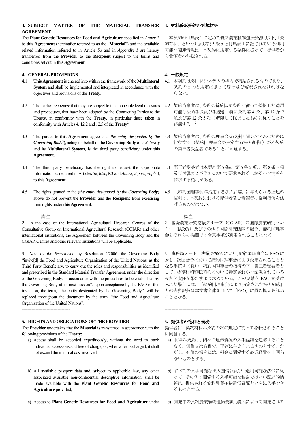| <b>TRANSFER</b><br>3. SUBJECT<br><b>MATTER</b><br><b>MATERIAL</b><br>OF<br>THE                                                                                                                                                                                                                                                                                                                                                                                                                                                                                                                                                                                                                  | 3. 材料移転契約の対象材料                                                                                                                                                                                                                                                             |
|-------------------------------------------------------------------------------------------------------------------------------------------------------------------------------------------------------------------------------------------------------------------------------------------------------------------------------------------------------------------------------------------------------------------------------------------------------------------------------------------------------------------------------------------------------------------------------------------------------------------------------------------------------------------------------------------------|----------------------------------------------------------------------------------------------------------------------------------------------------------------------------------------------------------------------------------------------------------------------------|
| <b>AGREEMENT</b><br>The Plant Genetic Resources for Food and Agriculture specified in Annex 1<br>to this Agreement (hereinafter referred to as the "Material") and the available<br>related information referred to in Article 5b and in Appendix 1 are hereby<br>transferred from the Provider to the Recipient subject to the terms and<br>conditions set out in this Agreement.                                                                                                                                                                                                                                                                                                              | 本契約の付属表1に定めた食料農業植物遺伝資源(以下、「契<br>約材料」という)及び第5条bと付属表1に記されている利用<br>可能な関連情報は、本契約に規定する条件に従って、提供者か<br>ら受領者へ移転される。                                                                                                                                                                |
| <b>4. GENERAL PROVISIONS</b><br>This Agreement is entered into within the framework of the Multilateral<br>4.1<br>System and shall be implemented and interpreted in accordance with the<br>objectives and provisions of the Treaty.                                                                                                                                                                                                                                                                                                                                                                                                                                                            | 4. 一般規定<br>4.1 本契約は多国間システムの枠内で締結されるものであり、<br>条約の目的と規定に則って履行及び解釈されなければな<br>らない。                                                                                                                                                                                             |
| 4.2<br>The parties recognize that they are subject to the applicable legal measures<br>and procedures, that have been adopted by the Contracting Parties to the<br>Treaty, in conformity with the Treaty, in particular those taken in<br>conformity with Articles 4, 12.2 and 12.5 of the Treaty <sup>2</sup> .                                                                                                                                                                                                                                                                                                                                                                                | 契約当事者は、条約の締約国が条約に従って採択した適用<br>4.2<br>可能な法的手段及び手続き、特に条約第4条、第12条2<br>項及び第12条5項に準拠して採択したものに従うことを<br>認識する。2                                                                                                                                                                    |
| 4.3<br>The parties to this Agreement agree that (the entity designated by the<br>Governing $Body^3$ ), acting on behalf of the Governing Body of the Treaty<br>and its Multilateral System, is the third party beneficiary under this<br>Agreement.                                                                                                                                                                                                                                                                                                                                                                                                                                             | 契約当事者は、条約の理事会及び多国間システムのために<br>4.3<br>行動する (締約国理事会が指定する法人組織 <sup>3</sup> ) が本契約<br>の第三者受益者であることに同意する。                                                                                                                                                                       |
| 4.4<br>The third party beneficiary has the right to request the appropriate<br>information as required in Articles 5e, 6.5c, 8.3 and Annex, 2 paragraph 3,<br>to this Agreement.                                                                                                                                                                                                                                                                                                                                                                                                                                                                                                                | 第三者受益者は本契約第5条e、第6条5項c、第8条3項<br>4.4<br>及び付属表2パラ3において要求されるしかるべき情報を<br>請求する権利がある。                                                                                                                                                                                             |
| The rights granted to the (the entity designated by the Governing Body)<br>4.5<br>above do not prevent the Provider and the Recipient from exercising<br>their rights under this Agreement.                                                                                                                                                                                                                                                                                                                                                                                                                                                                                                     | (締約国理事会が指定する法人組織)に与えられる上述の<br>4.5<br>権利は、本契約における提供者及び受領者の権利行使を妨<br>げるものではない。                                                                                                                                                                                               |
| -----------脚注--------------<br>2 In the case of the International Agricultural Research Centres of the<br>Consultative Group on International Agricultural Research (CGIAR) and other<br>international institutions, the Agreement between the Governing Body and the<br>CGIAR Centres and other relevant institutions will be applicable.                                                                                                                                                                                                                                                                                                                                                      | --脚注--------------<br>2 国際農業研究協議グループ (CGIAR) の国際農業研究セン<br>ター (IARCs) 及びその他の国際研究機関の場合、締約国理事<br>会とそれらの機関での合意事項が適用されることになる。                                                                                                                                                   |
| Note by the Secretariat: by Resolution 2/2006, the Governing Body<br>"invite[d] the Food and Agriculture Organization of the United Nations, as the<br>Third Party Beneficiary, to carry out the roles and responsibilities as identified<br>and prescribed in the Standard Material Transfer Agreement, under the direction<br>of the Governing Body, in accordance with the procedures to be established by<br>the Governing Body at its next session". Upon acceptance by the FAO of this<br>invitation, the term, "the entity designated by the Governing Body", will be<br>replaced throughout the document by the term, "the Food and Agriculture<br>Organization of the United Nations". | 事務局ノート:決議2/2006により、締約国理事会はFAOに<br>$\overline{\mathbf{3}}$<br>対し、次回会合において締約国理事会により設定されることと<br>なる手続きに従い、締約国理事会の指導の下、第三者受益者と<br>して、標準材料移転契約において特定されかつ記載されている<br>役割と責任を果たすよう求めている。この要請を FAO が受け<br>「締約国理事会により指定された法人組織」<br>入れた場合には、<br>との表現部分は本文書全体を通じて「FAO」に置き換えられる<br>こととなる。 |
| 5. RIGHTS AND OBLIGATIONS OF THE PROVIDER<br>The Provider undertakes that the Material is transferred in accordance with the<br>following provisions of the Treaty:<br>a) Access shall be accorded expeditiously, without the need to track<br>individual accessions and free of charge, or, when a fee is charged, it shall<br>not exceed the minimal cost involved;                                                                                                                                                                                                                                                                                                                           | 5. 提供者の権利と義務<br>提供者は、契約材料が条約の次の規定に従って移転されること<br>に同意する。<br>a) 取得の機会は、個々の遺伝資源の入手経路を追跡すること<br>なく、無償又は有償で、迅速に与えられるものとする。た<br>だし、有償の場合には、料金に関係する最低経費を上回ら<br>ないものとする。                                                                                                            |
| b) All available passport data and, subject to applicable law, any other<br>associated available non-confidential descriptive information, shall be<br>made available with the Plant Genetic Resources for Food and<br>Agriculture provided;                                                                                                                                                                                                                                                                                                                                                                                                                                                    | b) すべての入手可能な出入国情報及び、適用可能な法令に従<br>って、その他の関係する入手可能な秘密ではない記述的情<br>報は、提供される食料農業植物遺伝資源とともに入手でき<br>るものとする。                                                                                                                                                                       |
| c) Access to Plant Genetic Resources for Food and Agriculture under                                                                                                                                                                                                                                                                                                                                                                                                                                                                                                                                                                                                                             | 開発中の食料農業植物遺伝資源 (農民によって開発されて<br>C)                                                                                                                                                                                                                                          |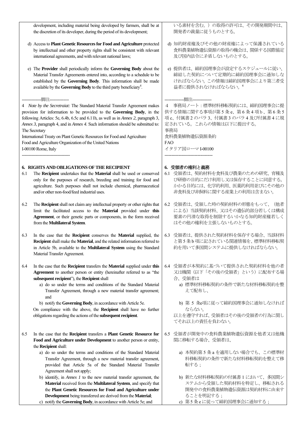development, including material being developed by farmers, shall be at the discretion of its developer, during the period of its development;

- d) Access to **Plant Genetic Resources for Food and Agriculture** protected by intellectual and other property rights shall be consistent with relevant international agreements, and with relevant national laws;
- e) The **Provider** shall periodically inform the **Governing Body** about the Material Transfer Agreements entered into, according to a schedule to be established by the **Governing Body**. This information shall be made available by the **Governing Body** to the third party beneficiary<sup>4</sup>.

#### -----脚注-----

4 *Note by the Secretraiat:* The Standard Material Transfer Agreement makes provision for information to be provided to the **Governing Body**, in the following Articles: 5e, 6.4b, 6.5c and 6.11h, as well as in *Annex 2*, paragraph 3, *Annex 3*, paragraph 4, and in *Annex 4*. Such information should be submitted to: The Secretary

International Treaty on Plant Genetic Resources for Food and Agriculture Food and Agriculture Organization of the United Nations

I-00100 Rome, Italy -----------------------------------

#### **6. RIGHTS AND OBLIGATIONS OF THE RECIPIENT**

- 6.1 The **Recipient** undertakes that the **Material** shall be used or conserved only for the purposes of research, breeding and training for food and agriculture. Such purposes shall not include chemical, pharmaceutical and/or other non-food/feed industrial uses.
- 6.2 The **Recipient** shall not claim any intellectual property or other rights that limit the facilitated access to the **Material** provided under **this Agreement**, or their genetic parts or components, in the form received from the **Multilateral System**.
- 6.3 In the case that the **Recipient** conserves the **Material** supplied, the **Recipient** shall make the **Material**, and the related information referred to in Article 5b, available to the **Multilateral System** using the Standard Material Transfer Agreement.
- 6.4 In the case that the **Recipient** transfers the **Material** supplied under **this Agreement** to another person or entity (hereinafter referred to as "the **subsequent recipient**"), the **Recipient** shall
	- a) do so under the terms and conditions of the Standard Material Transfer Agreement, through a new material transfer agreement; and

b) notify the **Governing Body**, in accordance with Article 5e. On compliance with the above, the **Recipient** shall have no further obligations regarding the actions of the **subsequent recipient**.

- 6.5 In the case that the **Recipient** transfers a **Plant Genetic Resource for Food and Agriculture under Development** to another person or entity, the **Recipient** shall:
	- a) do so under the terms and conditions of the Standard Material Transfer Agreement, through a new material transfer agreement, provided that Article 5a of the Standard Material Transfer Agreement shall not apply;
	- b) identify, in *Annex 1* to the new material transfer agreement, the **Material** received from the **Multilateral System**, and specify that the **Plant Genetic Resources for Food and Agriculture under Development** being transferred are derived from the **Material**; c) notify the **Governing Body**, in accordance with Article 5e; and

いる素材を含む。)の取得の許可は、その開発期間中は、 開発者の裁量に従うものとする。

- d) 知的財産権及びその他の財産権によって保護されている 食料農業植物遺伝資源の取得の機会は、関係する国際協定 及び国内法令に矛盾しないものとする。
- e) 提供者は、締約国理事会が設定するスケジュールに従い、 締結した契約について定期的に締約国理事会に通知しな ければならない。この情報は締約国理事会により第三者受 益者に提供されなければならない。<sup>4</sup>

#### --------------脚注--------------

4 事務局ノート:標準材料移転契約には、締約国理事会に提 供する情報に関する事項が第 5 条 e、第 6 条 4 項b、第 6 条 5 項 c、付属書 2 のパラ 3、付属書 3 のパラ 4 及び付属書 4 に規 定されている。これらの情報は以下に提出する。 事務局

食料農業植物遺伝資源条約 FAO イタリア国ローマI-00100

-----------------------------------

## **6.** 受領者の権利と義務

- 6.1 受領者は、契約材料を食料及び農業のための研究、育種及 び研修の目的にだけ利用し又は保存することに同意する。 かかる目的には、化学的利用、医薬的利用並びにその他の 非食料及び非飼料に関する産業上の利用は含まない。
- 6.2 受領者は、受領した時の契約材料の形態をもって、(他者 による)当該契約材料、又はその遺伝的部分若しくは構成 要素の円滑な取得を制限するいかなる知的財産権若しく はその他の権利を主張しないものとする。
- 6.3 受領者は、提供された契約材料を保存する場合、当該材料 と第5 条b 項に記されている関連情報を、標準材料移転契 約を用いて多国間システムに提供しなければならない。
- 6.4 受領者が本契約に基づいて提供された契約材料を他の者 又は機関(以下「その後の受領者」という)に配布する場 合、受領者は
	- a) 標準材料移転契約の条件で新たな材料移転契約を整 えて配布し、
	- b) 第 5 条e項に従って締約国理事会に通知しなければ ならない。

以上を遵守すれば、受領者はその後の受領者の行為に関し てそれ以上の責任を負わない。

- 6.5 受領者が開発中の食料農業植物遺伝資源を他者又は他機 関に移転する場合、受領者は、
	- a) 本契約第 5 条 a を適用しない場合でも、この標準材 料移転契約の条件で新たな材料移転契約を整えて移 転する;
	- b) 新たな材料移転契約の付属書 1 において、多国間シ ステムから受領した契約材料を特定し、移転される 開発中の食料農業植物遺伝資源は契約材料に由来す ることを明記する;
	- c) 第5 条e に従って締約国理事会に通知する;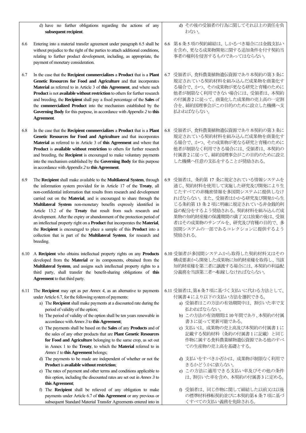|      | d) have no further obligations regarding the actions of any<br>subsequent recipient.                                                                                                                                                                                                                                                                                                                                                                                                                                                                                                                                                                                                                                                                                                                                                                                                                                                                                                                                                            | d) その後の受領者の行為に関<br>わない。                                                                                                                                                                                                                                                |
|------|-------------------------------------------------------------------------------------------------------------------------------------------------------------------------------------------------------------------------------------------------------------------------------------------------------------------------------------------------------------------------------------------------------------------------------------------------------------------------------------------------------------------------------------------------------------------------------------------------------------------------------------------------------------------------------------------------------------------------------------------------------------------------------------------------------------------------------------------------------------------------------------------------------------------------------------------------------------------------------------------------------------------------------------------------|------------------------------------------------------------------------------------------------------------------------------------------------------------------------------------------------------------------------------------------------------------------------|
| 6.6  | Entering into a material transfer agreement under paragraph 6.5 shall be<br>without prejudice to the right of the parties to attach additional conditions,<br>relating to further product development, including, as appropriate, the<br>payment of monetary consideration.                                                                                                                                                                                                                                                                                                                                                                                                                                                                                                                                                                                                                                                                                                                                                                     | 6.6 第6条5項の契約締結は、しかる<br>を含め、更なる成果物開発に関す<br>事者の権利を侵害するものであ                                                                                                                                                                                                               |
| 6.7  | In the case that the Recipient commercializes a Product that is a Plant<br>Genetic Resources for Food and Agriculture and that incorporates<br>Material as referred to in Article 3 of this Agreement, and where such<br>Product is not available without restriction to others for further research<br>and breeding, the Recipient shall pay a fixed percentage of the Sales of<br>the commercialized Product into the mechanism established by the<br>Governing Body for this purpose, in accordance with Appendix 2 to this<br>Agreement.                                                                                                                                                                                                                                                                                                                                                                                                                                                                                                    | 6.7 受領者が、食料農業植物遺伝資源<br>規定されている契約材料を組み<br>る場合で、かつ、その成果物が更<br>他者が制限なく利用できない場<br>の付属書2に従って、商業化した<br>合を、締約国理事会がこの目的の<br>払わねばならない。                                                                                                                                          |
| 6.8  | In the case that the Recipient commercializes a Product that is a Plant<br>Genetic Resources for Food and Agriculture and that incorporates<br>Material as referred to in Article 3 of this Agreement and where that<br>Product is available without restriction to others for further research<br>and breeding, the Recipient is encouraged to make voluntary payments<br>into the mechanism established by the Governing Body for this purpose<br>in accordance with <i>Appendix</i> 2 to this Agreement.                                                                                                                                                                                                                                                                                                                                                                                                                                                                                                                                     | 6.8 受領者が、食料農業植物遺伝資源<br>規定されている契約材料を組み<br>る場合で、かつ、その成果物が更<br>他者が制限なく利用できる場合<br>付属書2に従って、締約国理事会<br>した機構へ任意の支払をするこ。                                                                                                                                                       |
| 6.9  | The Recipient shall make available to the Multilateral System, through<br>the information system provided for in Article 17 of the Treaty, all<br>non-confidential information that results from research and development<br>carried out on the Material, and is encouraged to share through the<br>Multilateral System non-monetary benefits expressly identified in<br>Article 13.2 of the Treaty that result from such research and<br>development. After the expiry or abandonment of the protection period of<br>an intellectual property right on a Product that incorporates the Material,<br>the Recipient is encouraged to place a sample of this Product into a<br>collection that is part of the Multilateral System, for research and<br>breeding.                                                                                                                                                                                                                                                                                  | 6.9 受領者は、条約第 17 条に規定さ<br>通じ、契約材料を使用して実施し<br>じたすべての非機密情報を多国<br>ればならない。また、受領者はか<br>じる条約第13条2項に明確に規<br>益の配分をするよう奨励される。<br>果物の知的財産権の保護期間の<br>者はその成果物のサンプルを、有<br>国間システムの一部であるコレ<br>奨励される。                                                                                   |
|      | 6.10 A Recipient who obtains intellectual property rights on any Products<br>developed from the Material or its components, obtained from the<br>Multilateral System, and assigns such intellectual property rights to a<br>third party, shall transfer the benefit-sharing obligations of this<br>Agreement to that third party.                                                                                                                                                                                                                                                                                                                                                                                                                                                                                                                                                                                                                                                                                                               | 6.10 受領者が多国間システムから取<br>構成要素から開発した成果物に<br>知的財産権を第三者に譲渡する<br>分義務を当該第三者へ転嫁しな                                                                                                                                                                                              |
| 6.11 | The Recipient may opt as per Annex 4, as an alternative to payments<br>under Article 6.7, for the following system of payments:<br>a) The Recipient shall make payments at a discounted rate during the<br>period of validity of the option;<br>b) The period of validity of the option shall be ten years renewable in<br>accordance with Annex 3 to this Agreement;<br>c) The payments shall be based on the Sales of any Products and of<br>the sales of any other products that are Plant Genetic Resources<br>for Food and Agriculture belonging to the same crop, as set out<br>in Annex 1 to the Treaty, to which the Material referred to in<br>Annex 1 to this Agreement belongs;<br>d) The payments to be made are independent of whether or not the<br>Product is available without restriction;<br>e) The rates of payment and other terms and conditions applicable to<br>this option, including the discounted rates are set out in Annex 3 to<br>this Agreement;<br>f) The Recipient shall be relieved of any obligation to make | 6.11 受領者は、第6条7項に基づく支<br>付属書4により以下の支払い方?<br>a) 受領者はこの方法の有効期<br>払わねばならない。<br>b) この方法の有効期間は10<br>書3に従って更新可能であ<br>c) 支払いは、成果物の売上高<br>記載する契約材料 (条約の<br>作物に属する食料農業植物<br>ての生産物の売上高を基礎<br>d) 支払いをすべきか否かは、<br>きるかどうかに依らない。<br>e) この方法に適用できる支<br>は、割引いた率を含め、本<br>f) 受領者は、同じ作物に関し |
|      | payments under Article 6.7 of this Agreement or any previous or<br>subsequent Standard Material Transfer Agreements entered into in                                                                                                                                                                                                                                                                                                                                                                                                                                                                                                                                                                                                                                                                                                                                                                                                                                                                                                             | の標準材料移転契約並びに<br>くすべての支払い義務を免                                                                                                                                                                                                                                           |

d) その後の受領者の行為に関してそれ以上の責任を負

- るべき場合には金銭支払い する追加条件を付す契約当 ってはならない。
- 原であり本契約の第3条に 込んだ成果物を商業化す 更なる研究と育種のために 合には、受領者は、本契約 た成果物の売上高の一定割 のために設立した機構へ支
- 6.8 受領者が、食料農業植物遺伝資源であり本契約の第3 条に 込んだ成果物を商業化す 更なる研究と育種のために こは、受領者は、本契約の さがこの目的のために設立 とが奨励される。
- されている情報システムを 通じ、契約材料を使用して実施した研究及び開発により生 調問システムに提供しなけ いかる研究及び開発から生 見定されている非金銭的利 契約材料を組み込んだ成 おするない技<mark>棄の後は、受領</mark> 开究及び育種の目的で、多 クションに提供するよう
- 冷した契約材料又はその 知的財産権を取得し、当該 知的財産権を第三者に譲渡する場合には、本契約の利益配 ければならない。
- 払いに代わる方法として、 ちを選択できる。
	- a) 受領者はこの方法の有効期間中は、割引いた率で支
	- 年間であり、本契約の付属 らる。
	- 高及び本契約の付属書1に 2付属書1に記載)と同じ 作物に属する食料農業植物遺伝資源である他のすべ 楚とする。
	- 成果物が制限なく利用で きるかどうかに依らない。
	- 払い率及びその他の条件 契約の付属書3 に定める。
	- f) 受領者は、同じ作物に関して締結した以前又は以後 に本契約第6条7項に基づ 的除される。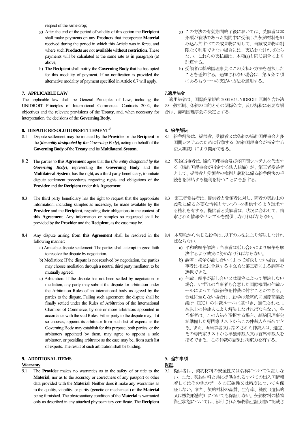respect of the same crop;

- g) After the end of the period of validity of this option the **Recipient**  shall make payments on any **Products** that incorporate **Material**  received during the period in which this Article was in force, and where such **Products** are not **available without restriction**. These payments will be calculated at the same rate as in paragraph (a) above;
- h) The **Recipient** shall notify the **Governing Body** that he has opted for this modality of payment. If no notification is provided the alternative modality of payment specified in Article 6.7 will apply.

#### **7. APPLICABLE LAW**

The applicable law shall be General Principles of Law, including the UNIDROIT Principles of International Commercial Contracts 2004, the objectives and the relevant provisions of the **Treaty**, and, when necessary for interpretation, the decisions of the **Governing Body**.

#### **8. DISPUTE RESOLUTION/SETTLEMENT** <sup>5</sup>

- 8.1 Dispute settlement may be initiated by the **Provider** or the **Recipient** or the (*the entity designated by the Governing Body*), acting on behalf of the **Governing Body** of the **Treaty** and its **Multilateral System**.
- 8.2 The parties to **this Agreement** agree that the (*the entity designated by the Governing Body*), representing the **Governing Body** and the **Multilateral System**, has the right, as a third party beneficiary, to initiate dispute settlement procedures regarding rights and obligations of the **Provider** and the **Recipient** under **this Agreement**.
- 8.3 The third party beneficiary has the right to request that the appropriate information, including samples as necessary, be made available by the **Provider** and the **Recipient**, regarding their obligations in the context of **this Agreement**. Any information or samples so requested shall be provided by the **Provider** and the **Recipient**, as the case may be.
- 8.4 Any dispute arising from **this Agreement** shall be resolved in the following manner:
	- a) Amicable dispute settlement: The parties shall attempt in good faith to resolve the dispute by negotiation.
	- b) Mediation: If the dispute is not resolved by negotiation, the parties may choose mediation through a neutral third party mediator, to be mutually agreed.
	- c) Arbitration: If the dispute has not been settled by negotiation or mediation, any party may submit the dispute for arbitration under the Arbitration Rules of an international body as agreed by the parties to the dispute. Failing such agreement, the dispute shall be finally settled under the Rules of Arbitration of the International Chamber of Commerce, by one or more arbitrators appointed in accordance with the said Rules. Either party to the dispute may, if it so chooses, appoint its arbitrator from such list of experts as the Governing Body may establish for this purpose; both parties, or the arbitrators appointed by them, may agree to appoint a sole arbitrator, or presiding arbitrator as the case may be, from such list of experts. The result of such arbitration shall be binding.

## **9. ADDITIONAL ITEMS**

## **Warranty**

9.1 The **Provider** makes no warranties as to the safety of or title to the **Material**, nor as to the accuracy or correctness of any passport or other data provided with the **Material**. Neither does it make any warranties as to the quality, viability, or purity (genetic or mechanical) of the **Material** being furnished. The phytosanitary condition of the **Material** is warranted only as described in any attached phytosanitary certificate. The **Recipient**

- g) この方法の有効期間終了後においては、受領者は本 条項が有効であった期間中に受領した契約材料を組 み込んだすべての成果物に対して、当該成果物が制 限なく利用できない場合には、支払わなければなら ない。これらの支払額は、本項(a)と同じ割合により 計算する。
- h) 受領者は締約国理事会にこの支払い方法を選択した ことを通知する。通知されない場合は、第 6 条 7 項 にあるもう一つの支払い方法を適用する。

#### **7.**適用法令

適用法令は、国際商業規約2004 の UNIDROIT 原則を含む法 の一般原則、条約の目的とその関係条文、及び解釈に必要な場 合は、締約国理事会の決定とする。

#### **8.** 紛争解決

- 8.1 紛争解決は、提供者、受領者又は条約の締約国理事会と多 国間システムのために行動する(締約国理事会が指定する 法人組織)により開始できる。
- 8.2 契約当事者は、締約国理事会及び多国間システムを代表す る(締約国理事会が指定する法人組織)が、第三者受益者 として、提供者と受領者の権利と義務に係る紛争解決の手 続きを開始する権利を持つことに合意する。
- 8.3 第三者受益者は、提供者と受領者に対し、両者の契約上の 義務に係る必要な情報とサンプルを提供するよう請求す る権利を有する。提供者と受領者は、状況に合わせて、請 求された情報やサンプルを提供しなければならない。
- 8.4 本契約から生じる紛争は、以下の方法により解決しなけれ ばならない。
	- a) 平和的紛争解決:当事者は話し合いにより紛争を解 決するよう誠実に努めなければならない。
	- b) 調停:紛争が話し合いによって解決しない場合、当 事者は相互に合意する中立的な第三者による調停を 選択できる。
	- c) 仲裁:紛争が話し合い又は調停によって解決しない 場合、いずれの当事者も合意した国際機関の仲裁ル ールによって当該紛争を仲裁に付すことができる。 合意に至らない場合は、紛争は最終的に国際商業会 議所(ICC)の仲裁ルールに基づき、選任された 1 名以上の仲裁人により解決しなければならない。各 当事者は、この方法を選択する場合、締約国理事会 が準備した専門家リストからこの仲裁人を指名でき る。また、両当事者又は指名された仲裁人は、適宜、 その専門家リストから単独仲裁人又は首席仲裁人を 指名できる。この仲裁の結果は拘束力を有する。

#### **9.** 追加事項 保証

9.1 提供者は、契約材料の安全性又は名称について保証しな い。また、契約材料と共に提供されるすべての出入国情報 若しくはその他のデータの正確性又は精度についても保 証しない。また、契約材料の品質、生存率、純度(遺伝的 又は機能形態的)についても保証しない。契約材料の植物 衛生状態については、添付された植物衛生証明書に記載さ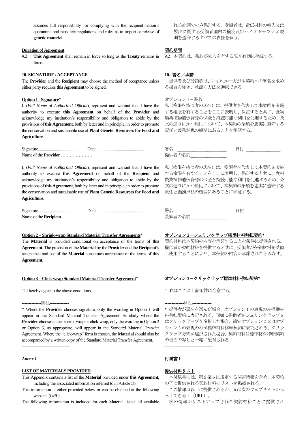| assumes full responsibility for complying with the recipient nation's<br>quarantine and biosafety regulations and rules as to import or release of<br>genetic material.                                                                                                                                                                                                                                                                                                              | れる範囲でのみ保証する。受領者は、遺伝材料の輸入又は<br>放出に関する受領者国内の検疫及びバイオセーフティ規<br>則を遵守するすべての責任を負う。                                                                                                                         |
|--------------------------------------------------------------------------------------------------------------------------------------------------------------------------------------------------------------------------------------------------------------------------------------------------------------------------------------------------------------------------------------------------------------------------------------------------------------------------------------|-----------------------------------------------------------------------------------------------------------------------------------------------------------------------------------------------------|
| <b>Duration of Agreement</b><br>9.2<br>This Agreement shall remain in force so long as the Treaty remains in<br>force.                                                                                                                                                                                                                                                                                                                                                               | 契約期間<br>9.2 本契約は、条約が効力を有する限り有効に存続する。                                                                                                                                                                |
| <b>10. SIGNATURE / ACCEPTANCE</b><br>The Provider and the Recipient may choose the method of acceptance unless<br>either party requires this Agreement to be signed.                                                                                                                                                                                                                                                                                                                 | $10.$ 署名/承諾<br>提供者及び受領者は、いずれか一方が本契約への署名を求め<br>る場合を除き、承認の方法を選択できる。                                                                                                                                   |
| Option 1-Signature*<br>I, (Full Name of Authorized Official), represent and warrant that I have the<br>authority to execute this Agreement on behalf of the Provider and<br>acknowledge my institution's responsibility and obligation to abide by the<br>provisions of this Agreement, both by letter and in principle, in order to promote<br>the conservation and sustainable use of <b>Plant Genetic Resources for Food and</b><br>Agriculture.                                  | オプション 1-署名<br>私(権限を持つ者の氏名)は、提供者を代表して本契約を実施<br>する権限を有することをここに表明し、保証すると共に、食物<br>農業植物遺伝資源の保全と持続可能な利用を促進するため、条<br>文の通りにかつ原則において、本契約の条項を忠実に遵守する<br>責任と義務が私の機関にあることを承認する。                                 |
| Name of the <b>Provider</b>                                                                                                                                                                                                                                                                                                                                                                                                                                                          | 日付 _____<br>署名<br>提供者の名前                                                                                                                                                                            |
| I, (Full Name of Authorized Official), represent and warrant that I have the<br>authority to execute this Agreement on behalf of the Recipient and<br>acknowledge my institution's responsibility and obligation to abide by the<br>provisions of this Agreement, both by letter and in principle, in order to promote<br>the conservation and sustainable use of Plant Genetic Resources for Food and<br>Agriculture.                                                               | 私(権限を持つ者の氏名)は、受領者を代表して本契約を実施<br>する権限を有することをここに表明し、保証すると共に、食料<br>農業植物遺伝資源の保全と持続可能な利用を促進するため、条<br>文の通りにかつ原則において、本契約の条項を忠実に遵守する<br>責任と義務が私の機関にあることに同意する。                                               |
| Name of the <b>Recipient</b>                                                                                                                                                                                                                                                                                                                                                                                                                                                         | 日付 _____<br>署名<br>受領者の名前                                                                                                                                                                            |
| Option 2 - Shrink-wrap Standard Material Transfer Agreements*<br>The Material is provided conditional on acceptance of the terms of this<br>Agreement. The provision of the Material by the Provider and the Recipient's<br>acceptance and use of the Material constitutes acceptance of the terms of this<br>Agreement.                                                                                                                                                             | オプション2ーシュリンクラップ標準材料移転契約*<br>契約材料は本契約の内容を承諾することを条件に提供される。<br>提供者が契約材料を提供すると共に、受領者が契約材料を受領<br>し使用することにより、本契約の内容が承諾されたとみなす。                                                                            |
| Option 3 - Click-wrap Standard Material Transfer Agreement*                                                                                                                                                                                                                                                                                                                                                                                                                          | <u> オプション3ークリックラップ標準材料移転契約*</u>                                                                                                                                                                     |
| $\Box$ I hereby agree to the above conditions.                                                                                                                                                                                                                                                                                                                                                                                                                                       | □ 私はここに上記条件に合意する。                                                                                                                                                                                   |
| * Where the Provider chooses signature, only the wording in Option 1 will<br>appear in the Standard Material Transfer Agreement. Similarly where the<br>Provider chooses either shrink-wrap or click-wrap, only the wording in Option 2<br>or Option 3, as appropriate, will appear in the Standard Material Transfer<br>Agreement. Where the "click-wrap" form is chosen, the Material should also be<br>accompanied by a written copy of the Standard Material Transfer Agreement. | -脚注----------<br>* 提供者が署名を選んだ場合、オプション1の表現のみ標準材<br>料移転契約に表記される。同様に提供者がシュリンクラップ又<br>はクリックラップを選択した場合、適宜オプション2又はオプ<br>ション3の表現のみが標準材料移転契約に表記される。 クリッ<br>クラップ方式が選択された場合、契約材料は標準材料移転契約<br>の書面の写しと一緒に配布される。 |
| Annex 1                                                                                                                                                                                                                                                                                                                                                                                                                                                                              | 付属書1                                                                                                                                                                                                |
| <b>LIST OF MATERIALS PROVIDED</b><br>This Appendix contains a list of the Material provided under this Agreement,<br>including the associated information referred to in Article 5b.<br>This information is either provided below or can be obtained at the following<br>website: (URL).<br>The following information is included for each Material listed: all available                                                                                                            | 提供材料リスト<br>本付属書には、第5条bに規定する関連情報を含め、本契約<br>の下で提供される契約材料のリストが掲載される。<br>この情報は以下に提供されるか、又は次のウェブサイトから<br>入手できる : (URL)。<br>次の情報がリストアップされた契約材料ごとに提供され                                                     |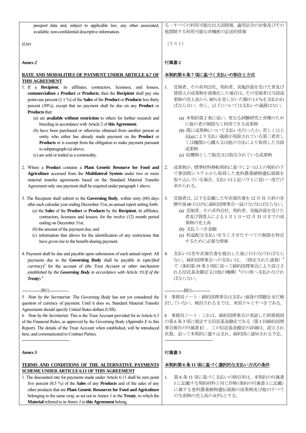passport data and, subject to applicable law, any other associated, available, non-confidential descriptive information.

(*List*)

*Annex 2*

#### **RATE AND MODALITIES OF PAYMENT UNDER ARTICLE 6.7 OF THIS AGREEMENT**

- 1. If a **Recipient**, its affiliates, contractors, licensees, and lessees, **commercializes** a **Product** or **Products**, then the **Recipient** shall pay one point-one percent (1.1 %) of the **Sales** of the **Product** or **Products** less thirty percent (30%); except that no payment shall be due on any **Product** or **Products** that:
	- (a) are **available without restriction** to others for further research and breeding in accordance with Article 2 of **this Agreement**;
	- (b) have been purchased or otherwise obtained from another person or entity who either has already made payment on the **Product** or **Products** or is exempt from the obligation to make payment pursuant to subparagraph (a) above;
	- (c) are sold or traded as a commodity.
- 2. Where a **Product** contains a **Plant Genetic Resource for Food and Agriculture** accessed from the **Multilateral System** under two or more material transfer agreements based on the Standard Material Transfer Agreement only one payment shall be required under paragraph 1 above.
- 3. The Recipient shall submit to the **Governing Body**, within sixty (60) days after each calendar year ending December 31st, an annual report setting forth: (a) the **Sales** of the **Product** or **Products** by the **Recipient**, its affiliates, contractors, licensees and lessees, for the twelve (12) month period
	- ending on December 31st; (b) the amount of the payment due; and

--------------脚注--------------

-----------------------------------

- (c) information that allows for the identification of any restrictions that have given rise to the benefit-sharing payment.
- 4. Payment shall be due and payable upon submission of each annual report. All payments due to the **Governing Body** shall be payable in (*specified*
- *currency*) 5 for the account of (*the Trust Account or other mechanism established by the Governing Body in accordance with Article 19.3f of the Treaty*). 6

6 *Note by the Secretariat:* This is the Trust Account provided for in Article 6.3 of the Financial Rules, as approved by the Governing Body (*Appendix E* to this Report). The details of the Trust Account when established, will be introduced here, and communicated to Contract Parties.

*Annex 3*

## **TERMS AND CONDITIONS OF THE ALTERNATIVE PAYMENTS SCHEME UNDER ARTICLE 6.11 OF THIS AGREEMENT**

1. The discounted rate for payments made under Article 6.11 shall be zero point five percent (0.5 %) of the **Sales** of any **Products** and of the sales of any other products that are **Plant Genetic Resources for Food and Agriculture**  belonging to the same crop, as set out in Annex 1 to the **Treaty**, to which the **Material** referred to in *Annex 1* to **this Agreement** belong.

る:すべての利用可能な出入国情報、適用法令の対象及びその 他関係する利用可能な非機密の記述的情報

(リスト)

## 付属書**2**

## 本契約第 **6** 条 **7** 項に基づく支払いの割合と方式

- 1. 受領者、その系列会社、契約者、実施許諾を受けた者及び 賃借人が成果物を商業化した場合は、その受領者は当該成 果物の売上高から30%を差し引いた額の1.1 %を支払わね ばならない。但し、以下については支払いの義務はない。
	- (a) 本契約第2 条に従い、更なる試験研究と育種のため に他の者が制限なく利用できる成果物
	- (b) 既に成果物について支払いを行ったか、若しくは上 記(a)により支払い義務が免除されている第三者若し くは機関から購入又は他の方法により取得した当該 成果物
	- (c) 収穫物として販売又は取引されている成果物
- 2. 成果物が、標準材料移転契約に基づく2 つ以上の契約の下 で多国間システムから取得した食料農業植物遺伝資源を 取り込んでいる場合、支払いは上記パラ1に従い一度だけ 求められる。
- 3. 受領者は、以下を記載した年次報告書を12 月31 日終の各 暦年後60日以内に締約国理事会へ届けなければならない。 (a) 受領者、その系列会社、契約者、実施許諾を受けた 者及び賃借人による 1 月 1 日~12 月 31 日までの成 果物の売上高
	- (b) 支払うべき金額
	- (c) 利益配分支払いを生じさせたすべての制限を特定 するために必要な情報
- 4. 支払いは各年次報告書を提出した後に行わなければなら ない。締約国理事会への支払いは、(指定された通貨)<sup>5</sup> で(条約第19 条3 項fに従って締約国理事会により設立さ れる信託基金勘定又は他の機構) <sup>6</sup>の口座へ支払わなけれ ばならない。

--------------脚注-------------

5 事務局ノート:締約国理事会は支払い通貨の問題を未だ検 討していない。検討されるまでは、米国ドルとすべきである。

6 事務局ノート:これは、締約国理事会が承認した財務規則 の第6 条3 項に規定する信託基金勘定である(第1 回締約国理 事会報告の付属書E)。この信託基金勘定の詳細は、設立され 次第、追って本契約に盛り込まれ、締約国に通知される予定。 -----------------------------------

## 付属書**3**

## 本契約第 **6** 条 **11** 項に基づく選択的な支払い方式の条件

1. 第 6 条 11 項に基づく支払いの割引率は、本契約の付属書 1 に記載する契約材料と同じ作物(条約の付属書1 に記載) に属する食料農業植物遺伝資源の成果物及び他のすべて の生産物の売上高の0.5%とする。

<sup>5</sup> *Note by the Secretariat:* The Governing Body has not yet considered the question of currency of payment. Until it does so, Standard Material Transfer Agreements should specify United States dollars (US\$).